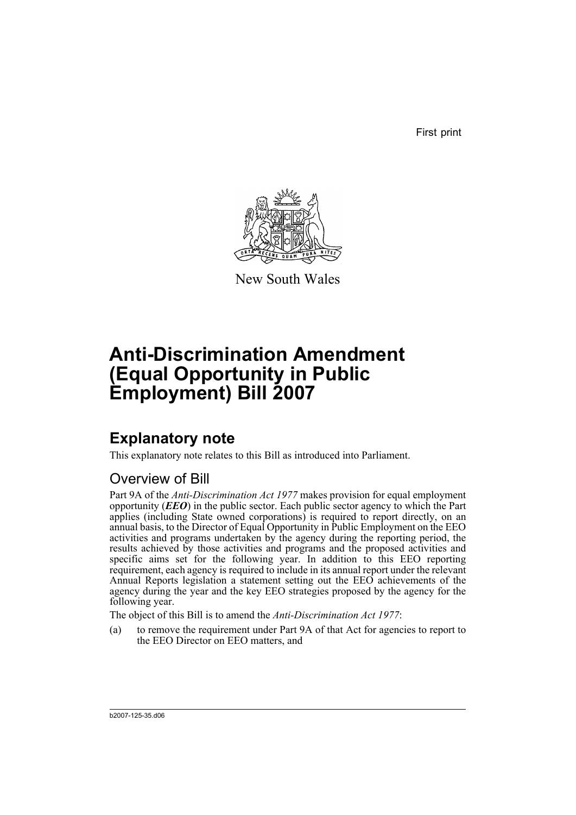First print



New South Wales

# **Anti-Discrimination Amendment (Equal Opportunity in Public Employment) Bill 2007**

## **Explanatory note**

This explanatory note relates to this Bill as introduced into Parliament.

#### Overview of Bill

Part 9A of the *Anti-Discrimination Act 1977* makes provision for equal employment opportunity (*EEO*) in the public sector. Each public sector agency to which the Part applies (including State owned corporations) is required to report directly, on an annual basis, to the Director of Equal Opportunity in Public Employment on the EEO activities and programs undertaken by the agency during the reporting period, the results achieved by those activities and programs and the proposed activities and specific aims set for the following year. In addition to this EEO reporting requirement, each agency is required to include in its annual report under the relevant Annual Reports legislation a statement setting out the EEO achievements of the agency during the year and the key EEO strategies proposed by the agency for the following year.

The object of this Bill is to amend the *Anti-Discrimination Act 1977*:

(a) to remove the requirement under Part 9A of that Act for agencies to report to the EEO Director on EEO matters, and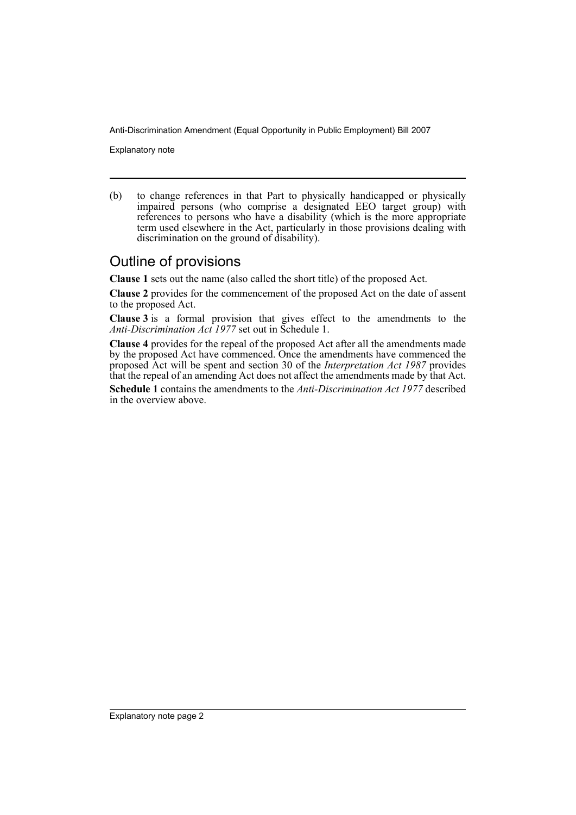Anti-Discrimination Amendment (Equal Opportunity in Public Employment) Bill 2007

Explanatory note

(b) to change references in that Part to physically handicapped or physically impaired persons (who comprise a designated EEO target group) with references to persons who have a disability (which is the more appropriate term used elsewhere in the Act, particularly in those provisions dealing with discrimination on the ground of disability).

#### Outline of provisions

**Clause 1** sets out the name (also called the short title) of the proposed Act.

**Clause 2** provides for the commencement of the proposed Act on the date of assent to the proposed Act.

**Clause 3** is a formal provision that gives effect to the amendments to the *Anti-Discrimination Act 1977* set out in Schedule 1.

**Clause 4** provides for the repeal of the proposed Act after all the amendments made by the proposed Act have commenced. Once the amendments have commenced the proposed Act will be spent and section 30 of the *Interpretation Act 1987* provides that the repeal of an amending Act does not affect the amendments made by that Act. **Schedule 1** contains the amendments to the *Anti-Discrimination Act 1977* described in the overview above.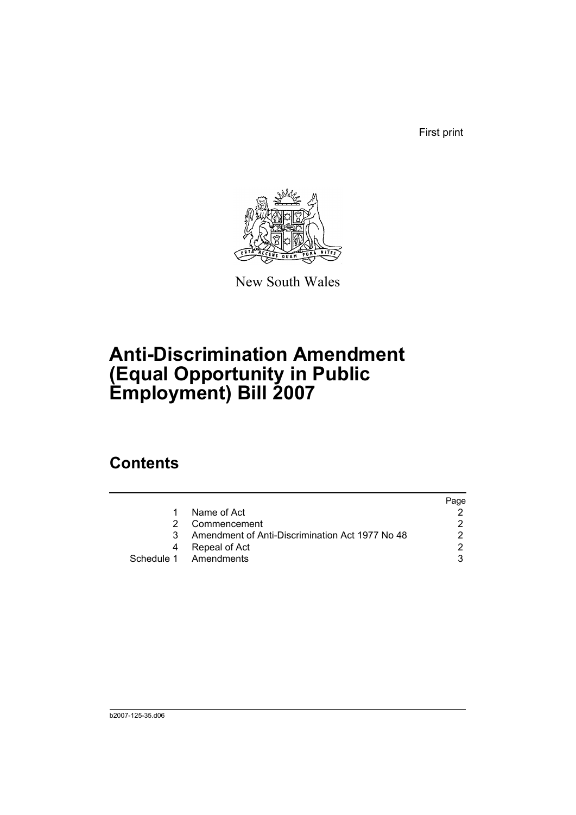First print



New South Wales

# **Anti-Discrimination Amendment (Equal Opportunity in Public Employment) Bill 2007**

### **Contents**

|                                                 | Page |
|-------------------------------------------------|------|
| Name of Act                                     |      |
| Commencement                                    |      |
| Amendment of Anti-Discrimination Act 1977 No 48 |      |
| Repeal of Act                                   |      |
| Schedule 1 Amendments                           |      |
|                                                 |      |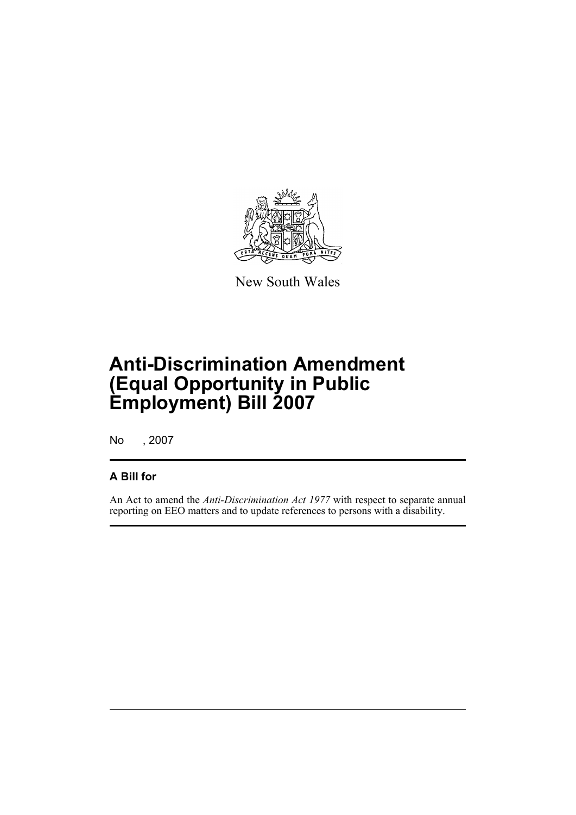

New South Wales

# **Anti-Discrimination Amendment (Equal Opportunity in Public Employment) Bill 2007**

No , 2007

#### **A Bill for**

An Act to amend the *Anti-Discrimination Act 1977* with respect to separate annual reporting on EEO matters and to update references to persons with a disability.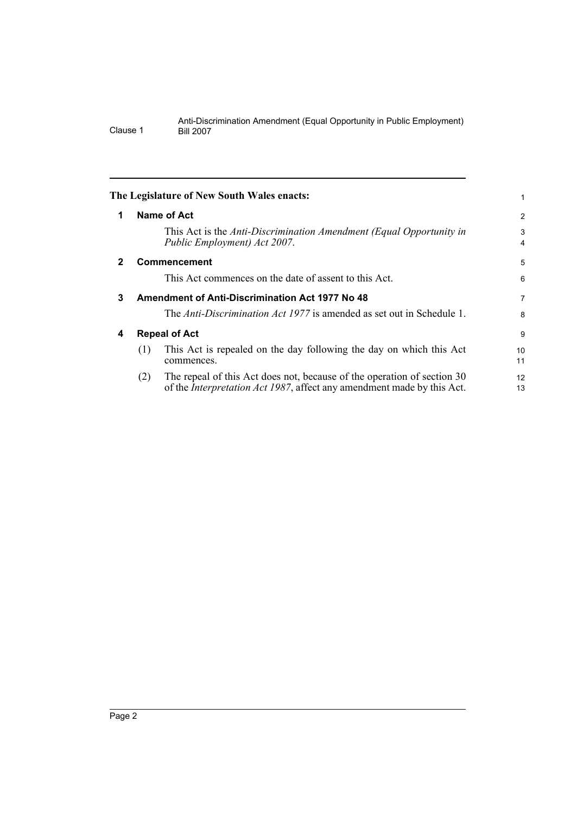<span id="page-5-3"></span><span id="page-5-2"></span><span id="page-5-1"></span><span id="page-5-0"></span>

|   | The Legislature of New South Wales enacts:                                                                                                                       |          |
|---|------------------------------------------------------------------------------------------------------------------------------------------------------------------|----------|
| 1 | <b>Name of Act</b>                                                                                                                                               | 2        |
|   | This Act is the Anti-Discrimination Amendment (Equal Opportunity in<br>Public Employment) Act 2007.                                                              | 3<br>4   |
| 2 | <b>Commencement</b>                                                                                                                                              | 5        |
|   | This Act commences on the date of assent to this Act.                                                                                                            | 6        |
| 3 | <b>Amendment of Anti-Discrimination Act 1977 No 48</b>                                                                                                           | 7        |
|   | The Anti-Discrimination Act 1977 is amended as set out in Schedule 1.                                                                                            | 8        |
| 4 | <b>Repeal of Act</b>                                                                                                                                             | 9        |
|   | This Act is repealed on the day following the day on which this Act<br>(1)<br>commences.                                                                         | 10<br>11 |
|   | The repeal of this Act does not, because of the operation of section 30<br>(2)<br>of the <i>Interpretation Act 1987</i> , affect any amendment made by this Act. | 12<br>13 |
|   |                                                                                                                                                                  |          |